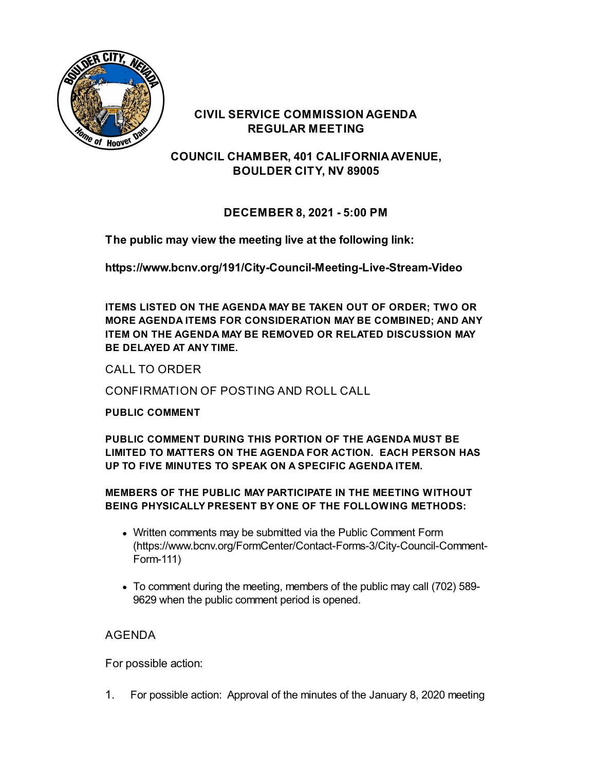

### **CIVIL SERVICE COMMISSION AGENDA REGULAR MEETING**

**COUNCIL CHAMBER, 401 CALIFORNIAAVENUE, BOULDER CITY, NV 89005**

# **DECEMBER 8, 2021 - 5:00 PM**

**The public may view the meeting live at the following link:**

**<https://www.bcnv.org/191/City-Council-Meeting-Live-Stream-Video>**

**ITEMS LISTED ON THE AGENDA MAY BE TAKEN OUT OF ORDER; TWO OR MORE AGENDA ITEMS FOR CONSIDERATION MAY BE COMBINED; AND ANY ITEM ON THE AGENDA MAY BE REMOVED OR RELATED DISCUSSION MAY BE DELAYED AT ANY TIME.**

CALL TO ORDER

CONFIRMATION OF POSTING AND ROLL CALL

### **PUBLIC COMMENT**

**PUBLIC COMMENT DURING THIS PORTION OF THE AGENDA MUST BE LIMITED TO MATTERS ON THE AGENDA FOR ACTION. EACH PERSON HAS UP TO FIVE MINUTES TO SPEAK ON A SPECIFIC AGENDA ITEM.**

#### **MEMBERS OF THE PUBLIC MAY PARTICIPATE IN THE MEETING WITHOUT BEING PHYSICALLY PRESENT BY ONE OF THE FOLLOWING METHODS:**

- Written comments may be submitted via the Public Comment Form [\(https://www.bcnv.org/FormCenter/Contact-Forms-3/City-Council-Comment-](https://www.bcnv.org/FormCenter/Contact-Forms-3/City-Council-Comment-Form-111)Form-111)
- To comment during the meeting, members of the public may call (702) 589- 9629 when the public comment period is opened.

# AGENDA

For possible action:

1. For possible action: [Approval](file:///C:/Windows/TEMP/CoverSheet.aspx?ItemID=4820&MeetingID=1142) of the minutes of the January 8, 2020 meeting